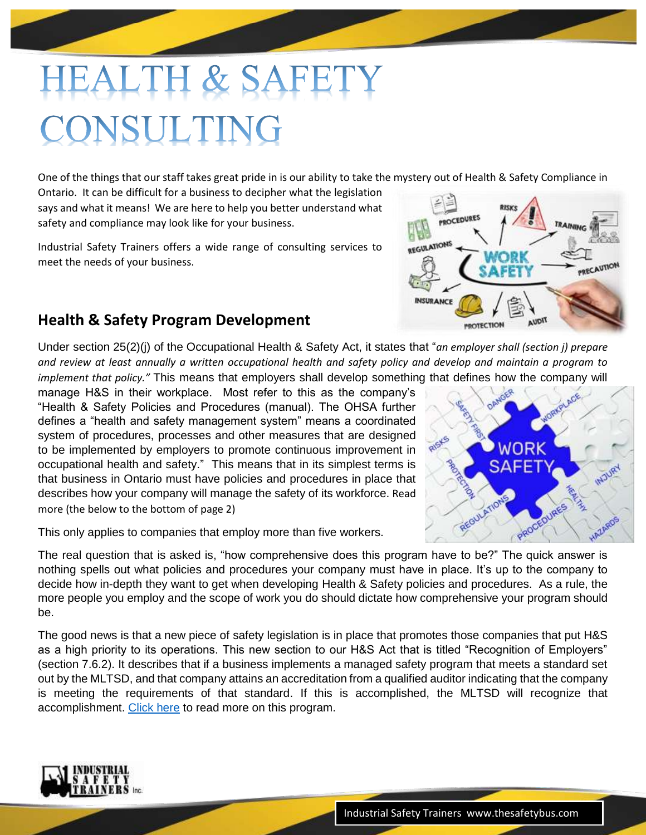# EALTH & SAFE CONSULTING

One of the things that our staff takes great pride in is our ability to take the mystery out of Health & Safety Compliance in

Ontario. It can be difficult for a business to decipher what the legislation says and what it means! We are here to help you better understand what safety and compliance may look like for your business.

Industrial Safety Trainers offers a wide range of consulting services to meet the needs of your business.

# **Health & Safety Program Development**

Under section 25(2)(j) of the Occupational Health & Safety Act, it states that "*an employer shall (section j) prepare and review at least annually a written occupational health and safety policy and develop and maintain a program to implement that policy."* This means that employers shall develop something that defines how the company will

manage H&S in their workplace. Most refer to this as the company's "Health & Safety Policies and Procedures (manual). The OHSA further defines a "health and safety management system" means a coordinated system of procedures, processes and other measures that are designed to be implemented by employers to promote continuous improvement in occupational health and safety." This means that in its simplest terms is that business in Ontario must have policies and procedures in place that describes how your company will manage the safety of its workforce. Read more (the below to the bottom of page 2)

This only applies to companies that employ more than five workers.

The real question that is asked is, "how comprehensive does this program have to be?" The quick answer is nothing spells out what policies and procedures your company must have in place. It's up to the company to decide how in-depth they want to get when developing Health & Safety policies and procedures. As a rule, the more people you employ and the scope of work you do should dictate how comprehensive your program should be.

The good news is that a new piece of safety legislation is in place that promotes those companies that put H&S as a high priority to its operations. This new section to our H&S Act that is titled "Recognition of Employers" (section 7.6.2). It describes that if a business implements a managed safety program that meets a standard set out by the MLTSD, and that company attains an accreditation from a qualified auditor indicating that the company is meeting the requirements of that standard. If this is accomplished, the MLTSD will recognize that accomplishment. [Click here](https://www.ontario.ca/page/supporting-ontarios-safe-employers-program) to read more on this program.





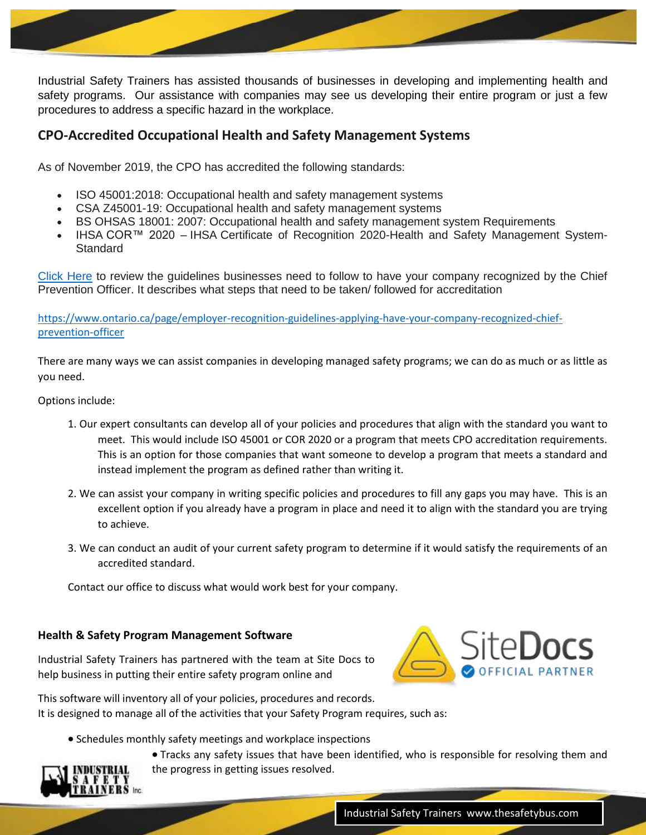Industrial Safety Trainers has assisted thousands of businesses in developing and implementing health and safety programs. Our assistance with companies may see us developing their entire program or just a few procedures to address a specific hazard in the workplace.

## **CPO-Accredited Occupational Health and Safety Management Systems**

As of November 2019, the CPO has accredited the following standards:

- ISO 45001:2018: Occupational health and safety management systems
- CSA Z45001-19: Occupational health and safety management systems
- BS OHSAS 18001: 2007: Occupational health and safety management system Requirements
- IHSA COR™ 2020 IHSA Certificate of Recognition 2020-Health and Safety Management System-**Standard**

[Click Here](https://www.ontario.ca/page/employer-recognition-guidelines-applying-have-your-company-recognized-chief-prevention-officer) to review the guidelines businesses need to follow to have your company recognized by the Chief Prevention Officer. It describes what steps that need to be taken/ followed for accreditation

[https://www.ontario.ca/page/employer-recognition-guidelines-applying-have-your-company-recognized-chief](https://www.ontario.ca/page/employer-recognition-guidelines-applying-have-your-company-recognized-chief-prevention-officer)[prevention-officer](https://www.ontario.ca/page/employer-recognition-guidelines-applying-have-your-company-recognized-chief-prevention-officer)

There are many ways we can assist companies in developing managed safety programs; we can do as much or as little as you need.

#### Options include:

- 1. Our expert consultants can develop all of your policies and procedures that align with the standard you want to meet. This would include ISO 45001 or COR 2020 or a program that meets CPO accreditation requirements. This is an option for those companies that want someone to develop a program that meets a standard and instead implement the program as defined rather than writing it.
- 2. We can assist your company in writing specific policies and procedures to fill any gaps you may have. This is an excellent option if you already have a program in place and need it to align with the standard you are trying to achieve.
- 3. We can conduct an audit of your current safety program to determine if it would satisfy the requirements of an accredited standard.

Contact our office to discuss what would work best for your company.

#### **Health & Safety Program Management Software**

Industrial Safety Trainers has partnered with the team at Site Docs to help business in putting their entire safety program online and



This software will inventory all of your policies, procedures and records. It is designed to manage all of the activities that your Safety Program requires, such as:

• Schedules monthly safety meetings and workplace inspections



 Tracks any safety issues that have been identified, who is responsible for resolving them and the progress in getting issues resolved.